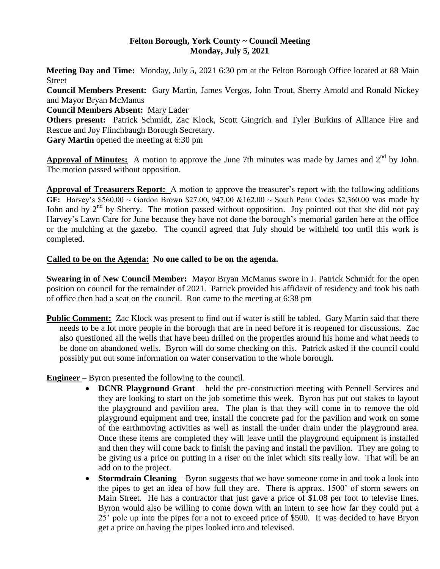#### **Felton Borough, York County ~ Council Meeting Monday, July 5, 2021**

**Meeting Day and Time:** Monday, July 5, 2021 6:30 pm at the Felton Borough Office located at 88 Main Street

**Council Members Present:** Gary Martin, James Vergos, John Trout, Sherry Arnold and Ronald Nickey and Mayor Bryan McManus

**Council Members Absent:** Mary Lader

**Others present:** Patrick Schmidt, Zac Klock, Scott Gingrich and Tyler Burkins of Alliance Fire and Rescue and Joy Flinchbaugh Borough Secretary.

**Gary Martin** opened the meeting at 6:30 pm

Approval of Minutes: A motion to approve the June 7th minutes was made by James and 2<sup>nd</sup> by John. The motion passed without opposition.

**Approval of Treasurers Report:** A motion to approve the treasurer's report with the following additions **GF:** Harvey's \$560.00 ~ Gordon Brown \$27.00, 947.00 &162.00 ~ South Penn Codes \$2,360.00 was made by John and by  $2<sup>nd</sup>$  by Sherry. The motion passed without opposition. Joy pointed out that she did not pay Harvey's Lawn Care for June because they have not done the borough's memorial garden here at the office or the mulching at the gazebo. The council agreed that July should be withheld too until this work is completed.

#### **Called to be on the Agenda: No one called to be on the agenda.**

**Swearing in of New Council Member:** Mayor Bryan McManus swore in J. Patrick Schmidt for the open position on council for the remainder of 2021. Patrick provided his affidavit of residency and took his oath of office then had a seat on the council. Ron came to the meeting at 6:38 pm

**Public Comment:** Zac Klock was present to find out if water is still be tabled. Gary Martin said that there needs to be a lot more people in the borough that are in need before it is reopened for discussions. Zac also questioned all the wells that have been drilled on the properties around his home and what needs to be done on abandoned wells. Byron will do some checking on this. Patrick asked if the council could possibly put out some information on water conservation to the whole borough.

## **Engineer** – Byron presented the following to the council.

- **DCNR Playground Grant** held the pre-construction meeting with Pennell Services and they are looking to start on the job sometime this week. Byron has put out stakes to layout the playground and pavilion area. The plan is that they will come in to remove the old playground equipment and tree, install the concrete pad for the pavilion and work on some of the earthmoving activities as well as install the under drain under the playground area. Once these items are completed they will leave until the playground equipment is installed and then they will come back to finish the paving and install the pavilion. They are going to be giving us a price on putting in a riser on the inlet which sits really low. That will be an add on to the project.
- **Stormdrain Cleaning** Byron suggests that we have someone come in and took a look into the pipes to get an idea of how full they are. There is approx. 1500' of storm sewers on Main Street. He has a contractor that just gave a price of \$1.08 per foot to televise lines. Byron would also be willing to come down with an intern to see how far they could put a 25' pole up into the pipes for a not to exceed price of \$500. It was decided to have Bryon get a price on having the pipes looked into and televised.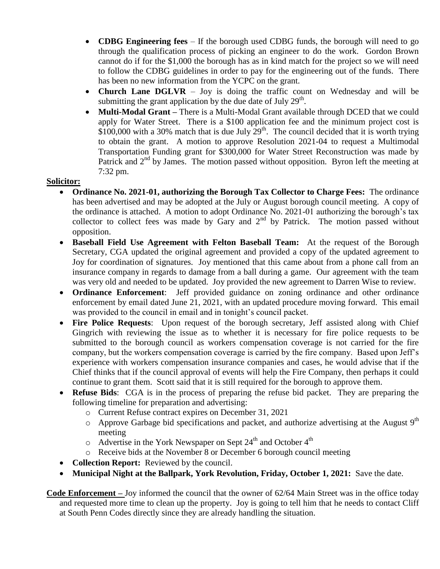- **CDBG Engineering fees**  If the borough used CDBG funds, the borough will need to go through the qualification process of picking an engineer to do the work. Gordon Brown cannot do if for the \$1,000 the borough has as in kind match for the project so we will need to follow the CDBG guidelines in order to pay for the engineering out of the funds. There has been no new information from the YCPC on the grant.
- **Church Lane DGLVR**  Joy is doing the traffic count on Wednesday and will be submitting the grant application by the due date of July  $29<sup>th</sup>$ .
- **Multi-Modal Grant –** There is a Multi-Modal Grant available through DCED that we could apply for Water Street. There is a \$100 application fee and the minimum project cost is  $$100,000$  with a 30% match that is due July  $29<sup>th</sup>$ . The council decided that it is worth trying to obtain the grant. A motion to approve Resolution 2021-04 to request a Multimodal Transportation Funding grant for \$300,000 for Water Street Reconstruction was made by Patrick and  $2<sup>nd</sup>$  by James. The motion passed without opposition. Byron left the meeting at 7:32 pm.

## **Solicitor:**

- **Ordinance No. 2021-01, authorizing the Borough Tax Collector to Charge Fees:** The ordinance has been advertised and may be adopted at the July or August borough council meeting. A copy of the ordinance is attached. A motion to adopt Ordinance No. 2021-01 authorizing the borough's tax collector to collect fees was made by Gary and  $2<sup>nd</sup>$  by Patrick. The motion passed without opposition.
- **Baseball Field Use Agreement with Felton Baseball Team:** At the request of the Borough Secretary, CGA updated the original agreement and provided a copy of the updated agreement to Joy for coordination of signatures. Joy mentioned that this came about from a phone call from an insurance company in regards to damage from a ball during a game. Our agreement with the team was very old and needed to be updated. Joy provided the new agreement to Darren Wise to review.
- **Ordinance Enforcement**: Jeff provided guidance on zoning ordinance and other ordinance enforcement by email dated June 21, 2021, with an updated procedure moving forward. This email was provided to the council in email and in tonight's council packet.
- **Fire Police Requests**: Upon request of the borough secretary, Jeff assisted along with Chief Gingrich with reviewing the issue as to whether it is necessary for fire police requests to be submitted to the borough council as workers compensation coverage is not carried for the fire company, but the workers compensation coverage is carried by the fire company. Based upon Jeff's experience with workers compensation insurance companies and cases, he would advise that if the Chief thinks that if the council approval of events will help the Fire Company, then perhaps it could continue to grant them. Scott said that it is still required for the borough to approve them.
- **Refuse Bids**: CGA is in the process of preparing the refuse bid packet. They are preparing the following timeline for preparation and advertising:
	- o Current Refuse contract expires on December 31, 2021
	- $\circ$  Approve Garbage bid specifications and packet, and authorize advertising at the August 9<sup>th</sup> meeting
	- $\circ$  Advertise in the York Newspaper on Sept 24<sup>th</sup> and October 4<sup>th</sup>
	- o Receive bids at the November 8 or December 6 borough council meeting
- **Collection Report:** Reviewed by the council.
- **Municipal Night at the Ballpark, York Revolution, Friday, October 1, 2021:** Save the date.

**Code Enforcement –** Joy informed the council that the owner of 62/64 Main Street was in the office today and requested more time to clean up the property. Joy is going to tell him that he needs to contact Cliff at South Penn Codes directly since they are already handling the situation.